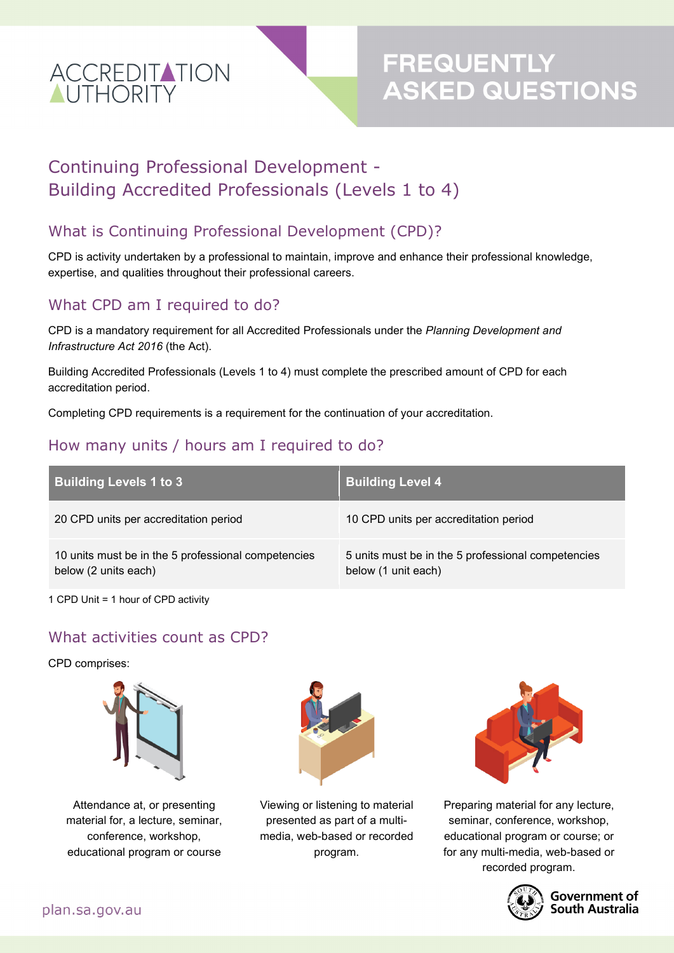

# **FREQUENTLY<br>ASKED QUESTIONS**

## Continuing Professional Development - Building Accredited Professionals (Levels 1 to 4)

#### What is Continuing Professional Development (CPD)?

CPD is activity undertaken by a professional to maintain, improve and enhance their professional knowledge, expertise, and qualities throughout their professional careers.

#### What CPD am I required to do?

CPD is a mandatory requirement for all Accredited Professionals under the *Planning Development and Infrastructure Act 2016* (the Act).

Building Accredited Professionals (Levels 1 to 4) must complete the prescribed amount of CPD for each accreditation period.

Completing CPD requirements is a requirement for the continuation of your accreditation.

#### How many units / hours am I required to do?

| <b>Building Levels 1 to 3</b>                                               | <b>Building Level 4</b>                                                   |
|-----------------------------------------------------------------------------|---------------------------------------------------------------------------|
| 20 CPD units per accreditation period                                       | 10 CPD units per accreditation period                                     |
| 10 units must be in the 5 professional competencies<br>below (2 units each) | 5 units must be in the 5 professional competencies<br>below (1 unit each) |

1 CPD Unit = 1 hour of CPD activity

#### What activities count as CPD?

CPD comprises:



Attendance at, or presenting material for, a lecture, seminar, conference, workshop, educational program or course



Viewing or listening to material presented as part of a multimedia, web-based or recorded program.



Preparing material for any lecture, seminar, conference, workshop, educational program or course; or for any multi-media, web-based or recorded program.



#### **Government of South Australia**